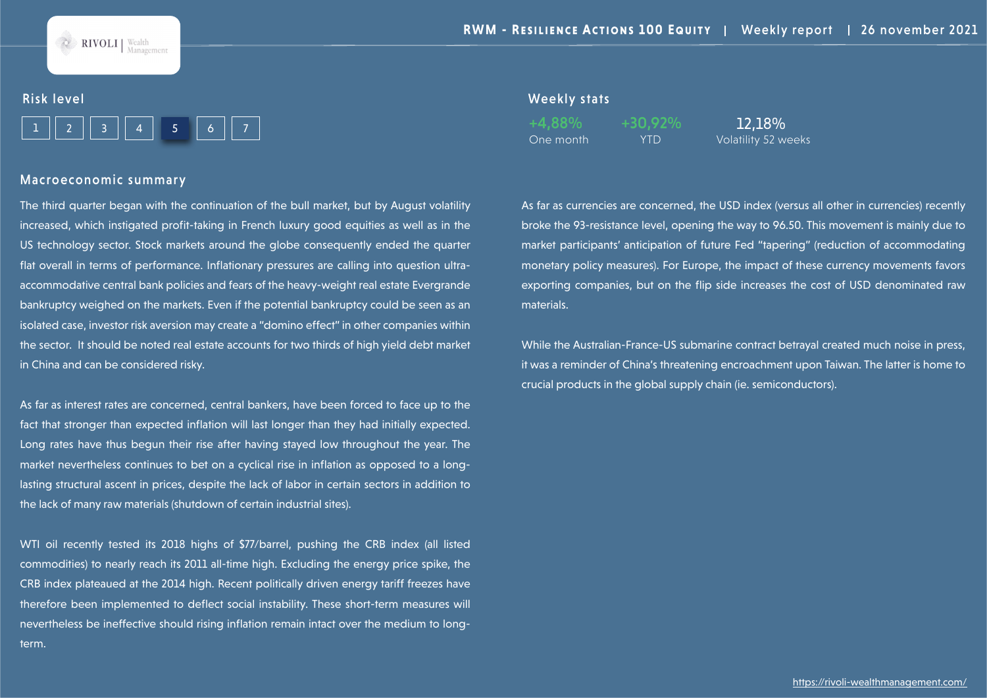

#### Risk level

|--|--|--|--|--|--|--|

#### Macroeconomic summary

The third quarter began with the continuation of the bull market, but by August volatility increased, which instigated profit-taking in French luxury good equities as well as in the US technology sector. Stock markets around the globe consequently ended the quarter flat overall in terms of performance. Inflationary pressures are calling into question ultraaccommodative central bank policies and fears of the heavy-weight real estate Evergrande bankruptcy weighed on the markets. Even if the potential bankruptcy could be seen as an isolated case, investor risk aversion may create a "domino effect" in other companies within the sector. It should be noted real estate accounts for two thirds of high yield debt market in China and can be considered risky.

As far as interest rates are concerned, central bankers, have been forced to face up to the fact that stronger than expected inflation will last longer than they had initially expected. Long rates have thus begun their rise after having stayed low throughout the year. The market nevertheless continues to bet on a cyclical rise in inflation as opposed to a longlasting structural ascent in prices, despite the lack of labor in certain sectors in addition to the lack of many raw materials (shutdown of certain industrial sites).

WTI oil recently tested its 2018 highs of \$77/barrel, pushing the CRB index (all listed commodities) to nearly reach its 2011 all-time high. Excluding the energy price spike, the CRB index plateaued at the 2014 high. Recent politically driven energy tariff freezes have therefore been implemented to deflect social instability. These short-term measures will nevertheless be ineffective should rising inflation remain intact over the medium to longterm.

#### Weekly stats

One month YTD Volatility 52 weeks

+4,88% +30,92% 12,18%

As far as currencies are concerned, the USD index (versus all other in currencies) recently broke the 93-resistance level, opening the way to 96.50. This movement is mainly due to market participants' anticipation of future Fed "tapering" (reduction of accommodating monetary policy measures). For Europe, the impact of these currency movements favors exporting companies, but on the flip side increases the cost of USD denominated raw materials.

While the Australian-France-US submarine contract betrayal created much noise in press, it was a reminder of China's threatening encroachment upon Taiwan. The latter is home to crucial products in the global supply chain (ie. semiconductors).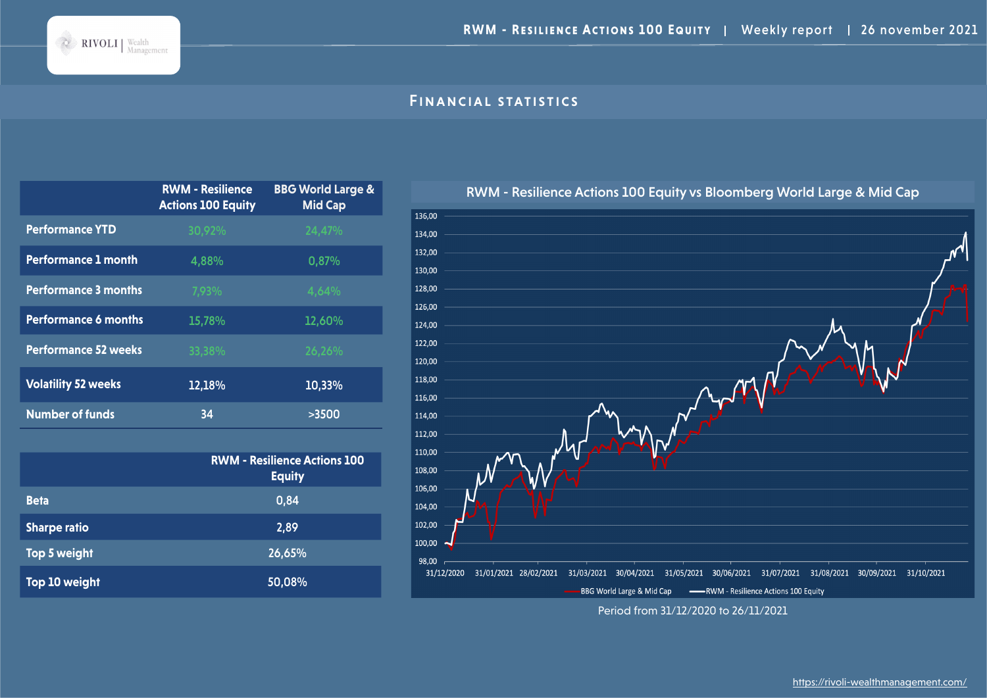

# Financial statistics

|                             | <b>RWM - Resilience</b><br><b>Actions 100 Equity</b> | <b>BBG World Large &amp;</b><br><b>Mid Cap</b> |
|-----------------------------|------------------------------------------------------|------------------------------------------------|
| <b>Performance YTD</b>      | 30,92%                                               | 24,47%                                         |
| <b>Performance 1 month</b>  | 4,88%                                                | 0,87%                                          |
| <b>Performance 3 months</b> | 7,93%                                                | 4,64%                                          |
| <b>Performance 6 months</b> | 15,78%                                               | 12,60%                                         |
| <b>Performance 52 weeks</b> | 33,38%                                               | 26,26%                                         |
| <b>Volatility 52 weeks</b>  | 12,18%                                               | 10,33%                                         |
| <b>Number of funds</b>      | 34                                                   | >3500                                          |

|                     | <b>RWM - Resilience Actions 100</b><br><b>Equity</b> |
|---------------------|------------------------------------------------------|
| <b>Beta</b>         | 0,84                                                 |
| <b>Sharpe ratio</b> | 2,89                                                 |
| Top 5 weight        | 26,65%                                               |
| Top 10 weight       | 50,08%                                               |



Period from 31/12/2020 to 26/11/2021

RWM - Resilience Actions 100 Equity vs Bloomberg World Large & Mid Cap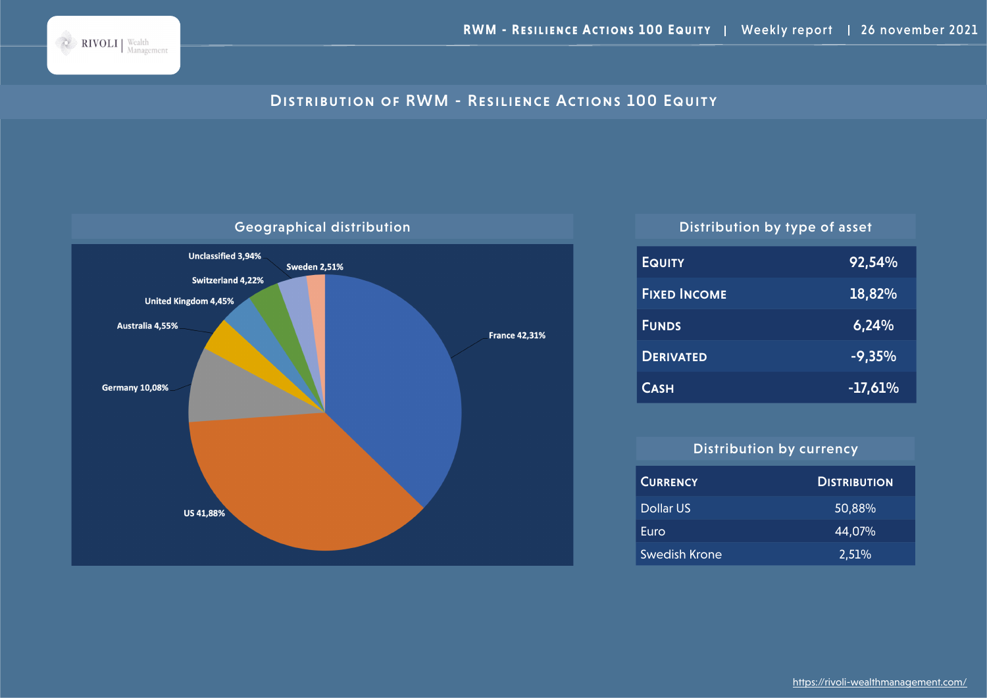

# DISTRIBUTION OF RWM - RESILIENCE ACTIONS 100 EQUITY



| <b>EQUITY</b>       | 92,54%    |
|---------------------|-----------|
| <b>FIXED INCOME</b> | 18,82%    |
| <b>FUNDS</b>        | 6,24%     |
| <b>DERIVATED</b>    | $-9,35%$  |
| <b>CASH</b>         | $-17,61%$ |

# Distribution by currency

| <b>CURRENCY</b> | <b>DISTRIBUTION</b> |
|-----------------|---------------------|
| Dollar US       | 50,88%              |
| Euro            | 44,07%              |
| Swedish Krone   | 2,51%               |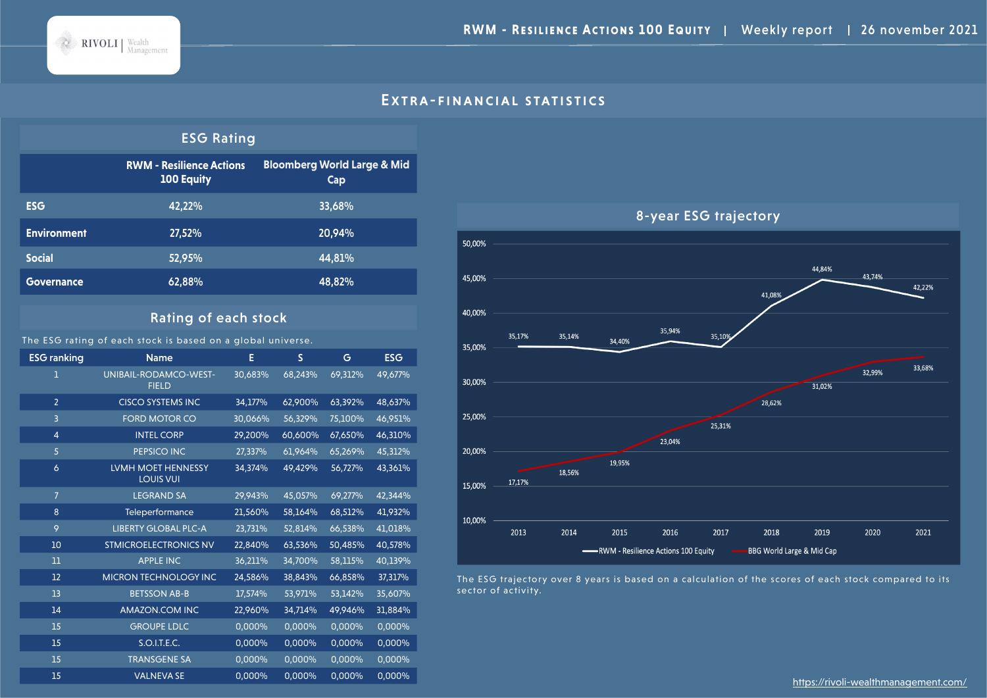

#### EXTRA-FINANCIAL STATISTICS

#### ESG Rating

|                    | <b>RWM - Resilience Actions</b><br><b>100 Equity</b> | <b>Bloomberg World Large &amp; Mid</b><br>Cap |
|--------------------|------------------------------------------------------|-----------------------------------------------|
| <b>ESG</b>         | 42,22%                                               | 33,68%                                        |
| <b>Environment</b> | 27,52%                                               | 20,94%                                        |
| <b>Social</b>      | 52,95%                                               | 44.81%                                        |
| <b>Governance</b>  | 62,88%                                               | 48,82%                                        |

## Rating of each stock

The ESG rating of each stock is based on a global universe.

ESG ranking Mame Name E S G ESG UNIBAIL-RODAMCO-WEST-FIELD 30,683% 68,243% 69,312% 49,677% CISCO SYSTEMS INC 34,177% 62,900% 63,392% 48,637% FORD MOTOR CO 30,066% 56,329% 75,100% 46,951% INTEL CORP 29,200% 60,600% 67,650% 46,310% PEPSICO INC 27,337% 61,964% 65,269% 45,312% LVMH MOET HENNESSY LOUIS VUI 34,374% 49,429% 56,727% 43,361% LEGRAND SA 29,943% 45,057% 69,277% 42,344% Teleperformance 21,560% 58,164% 68,512% 41,932% LIBERTY GLOBAL PLC-A 23,731% 52,814% 66,538% 41,018% STMICROELECTRONICS NV 22,840% 63,536% 50,485% 40,578% APPLE INC 36,211% 34,700% 58,115% 40,139% MICRON TECHNOLOGY INC 24,586% 38,843% 66,858% 37,317% BETSSON AB-B 17,574% 53,971% 53,142% 35,607% AMAZON.COM INC 22,960% 34,714% 49,946% 31,884% GROUPE LDLC 0,000% 0,000% 0,000% 0,000% S.O.I.T.E.C. 0,000% 0,000% 0,000% 0,000% TRANSGENE SA 0,000% 0,000% 0,000% 0,000% VALNEVA SE 0,000% 0,000% 0,000% 0,000%



The ESG trajectory over 8 years is based on a calculation of the scores of each stock compared to its sector of activity.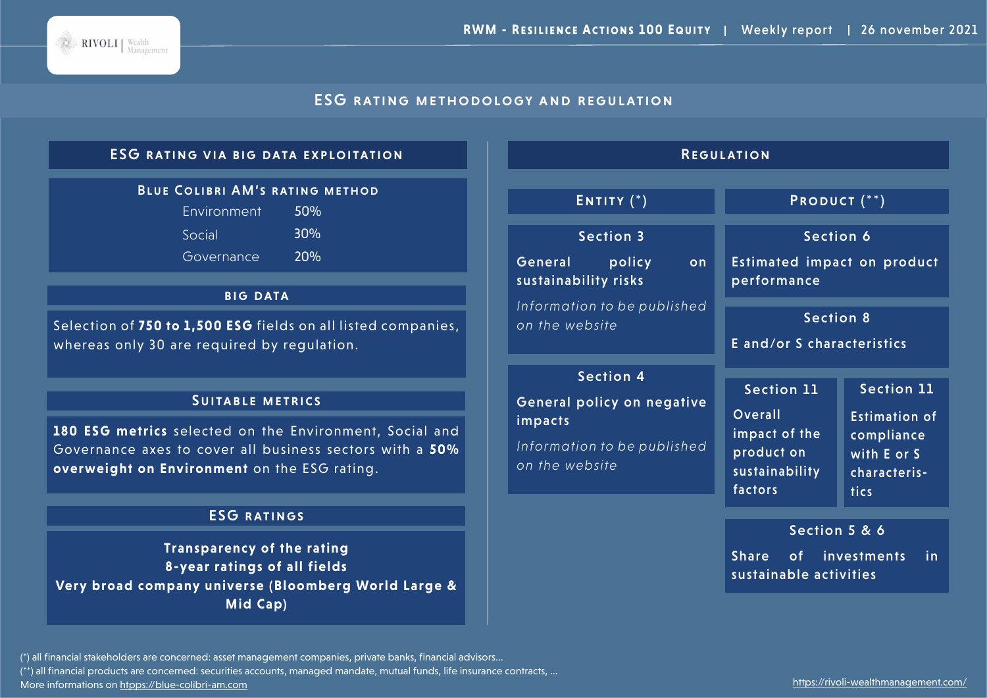

# ESG rating methodology and regulation

# ESG rating via big data exploitation

### Blue Colibri AM's rating method

| Environment | 50% |
|-------------|-----|
| Social      | 30% |
| Governance  | 20% |

#### **BIG DATA**

Selection of **750 to 1,500 ESG** fields on all listed companies, whereas only 30 are required by regulation.

#### Suitable metrics

**180 ESG metrics** selected on the Environment, Social and Governance axes to cover all business sectors with a **50% overweight on Environment** on the ESG rating.

# ESG ratings

**Transparency of the rating 8-year ratings of all fields Very broad company universe (Bloomberg World Large & Mid Cap)**

| <b>REGULATION</b>                                                                                          |                                                                                          |                                                                                                       |  |
|------------------------------------------------------------------------------------------------------------|------------------------------------------------------------------------------------------|-------------------------------------------------------------------------------------------------------|--|
| ENTITY $(*)$                                                                                               | PRODUCT <sup>(**)</sup>                                                                  |                                                                                                       |  |
| <b>Section 3</b><br>General<br>policy<br>on<br>sustainability risks                                        | Section 6<br><b>Estimated impact on product</b><br>performance                           |                                                                                                       |  |
| Information to be published<br>on the website                                                              | <b>Section 8</b><br>E and/or S characteristics                                           |                                                                                                       |  |
| <b>Section 4</b><br>General policy on negative<br>impacts<br>Information to be published<br>on the website | Section 11<br><b>Overall</b><br>impact of the<br>product on<br>sustainability<br>factors | <b>Section 11</b><br><b>Estimation of</b><br>compliance<br>with E or S<br>characteris-<br><b>tics</b> |  |
|                                                                                                            | Section 5 & 6<br>Share of investments<br>sustainable activities                          | in                                                                                                    |  |

(\*) all financial stakeholders are concerned: asset management companies, private banks, financial advisors...

(\*\*) all financial products are concerned: securities accounts, managed mandate, mutual funds, life insurance contracts, ...

More informations on htpps://blue-colibri-am.com